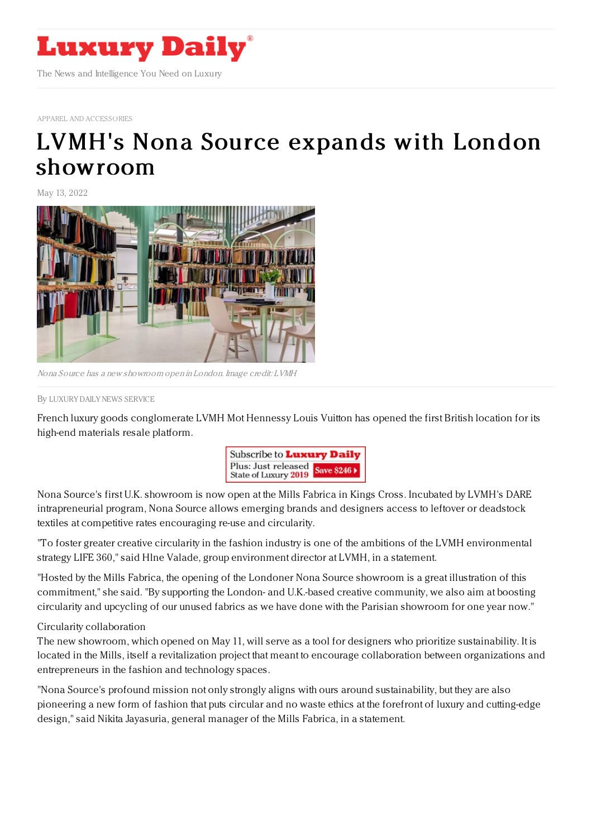

## APPAREL AND [ACCESSORIES](https://www.luxurydaily.com/category/sectors/apparel-and-accessories/)

## LVMH's Nona Source expands with London [showroom](https://www.luxurydaily.com/lvmhs-nona-source-expands-with-london-showroom/)

May 13, 2022



Nona Source has <sup>a</sup> new showroom open in London. Image credit: LVMH

By LUXURY DAILY NEWS [SERVICE](file:///author/luxury-daily-news-service)

French luxury goods conglomerate LVMH Mot Hennessy Louis Vuitton has opened the first British location for its high-end materials resale platform.



Nona Source's first U.K. showroom is now open at the Mills Fabrica in Kings Cross. Incubated by LVMH's DARE intrapreneurial program, Nona Source allows emerging brands and designers access to leftover or deadstock textiles at competitive rates encouraging re-use and circularity.

"To foster greater creative circularity in the fashion industry is one of the ambitions of the LVMH environmental strategy LIFE 360," said Hlne Valade, group environment director at LVMH, in a statement.

"Hosted by the Mills Fabrica, the opening of the Londoner Nona Source showroom is a great illustration of this commitment," she said. "By supporting the London- and U.K.-based creative community, we also aim at boosting circularity and upcycling of our unused fabrics as we have done with the Parisian showroom for one year now."

Circularity collaboration

The new showroom, which opened on May 11, will serve as a tool for designers who prioritize sustainability. It is located in the Mills, itself a revitalization project that meant to encourage collaboration between organizations and entrepreneurs in the fashion and technology spaces.

"Nona Source's profound mission not only strongly aligns with ours around sustainability, but they are also pioneering a new form of fashion that puts circular and no waste ethics at the forefront of luxury and cutting-edge design," said Nikita Jayasuria, general manager of the Mills Fabrica, in a statement.